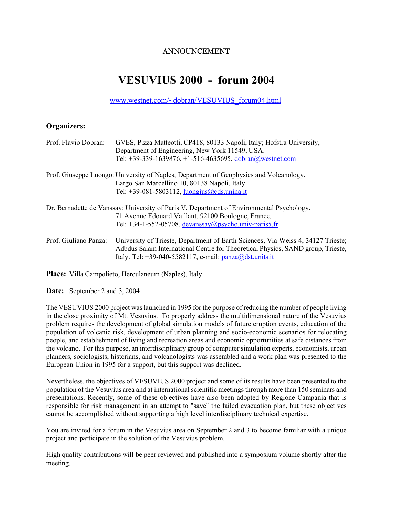## ANNOUNCEMENT

# **VESUVIUS 2000 - forum 2004**

www.westnet.com/~dobran/VESUVIUS\_forum04.html

### **Organizers:**

| Prof. Flavio Dobran:  | GVES, P.zza Matteotti, CP418, 80133 Napoli, Italy; Hofstra University,<br>Department of Engineering, New York 11549, USA.                                                                                                           |
|-----------------------|-------------------------------------------------------------------------------------------------------------------------------------------------------------------------------------------------------------------------------------|
|                       | Tel: +39-339-1639876, +1-516-4635695, dobran@westnet.com                                                                                                                                                                            |
|                       | Prof. Giuseppe Luongo: University of Naples, Department of Geophysics and Volcanology,                                                                                                                                              |
|                       | Largo San Marcellino 10, 80138 Napoli, Italy.                                                                                                                                                                                       |
|                       | Tel: $+39-081-5803112$ , luongius@cds.unina.it                                                                                                                                                                                      |
|                       | Dr. Bernadette de Vanssay: University of Paris V, Department of Environmental Psychology,                                                                                                                                           |
|                       | 71 Avenue Edouard Vaillant, 92100 Boulogne, France.                                                                                                                                                                                 |
|                       | Tel: $+34-1-552-05708$ , devanssay@psycho.univ-paris5.fr                                                                                                                                                                            |
| Prof. Giuliano Panza: | University of Trieste, Department of Earth Sciences, Via Weiss 4, 34127 Trieste;<br>Adbdus Salam International Centre for Theoretical Physics, SAND group, Trieste,<br>Italy. Tel: $+39-040-5582117$ , e-mail: $panza@dst.units.it$ |

**Place:** Villa Campolieto, Herculaneum (Naples), Italy

**Date:** September 2 and 3, 2004

The VESUVIUS 2000 project was launched in 1995 for the purpose of reducing the number of people living in the close proximity of Mt. Vesuvius. To properly address the multidimensional nature of the Vesuvius problem requires the development of global simulation models of future eruption events, education of the population of volcanic risk, development of urban planning and socio-economic scenarios for relocating people, and establishment of living and recreation areas and economic opportunities at safe distances from the volcano. For this purpose, an interdisciplinary group of computer simulation experts, economists, urban planners, sociologists, historians, and volcanologists was assembled and a work plan was presented to the European Union in 1995 for a support, but this support was declined.

Nevertheless, the objectives of VESUVIUS 2000 project and some of its results have been presented to the population of the Vesuvius area and at international scientific meetings through more than 150 seminars and presentations. Recently, some of these objectives have also been adopted by Regione Campania that is responsible for risk management in an attempt to "save" the failed evacuation plan, but these objectives cannot be accomplished without supporting a high level interdisciplinary technical expertise.

You are invited for a forum in the Vesuvius area on September 2 and 3 to become familiar with a unique project and participate in the solution of the Vesuvius problem.

High quality contributions will be peer reviewed and published into a symposium volume shortly after the meeting.